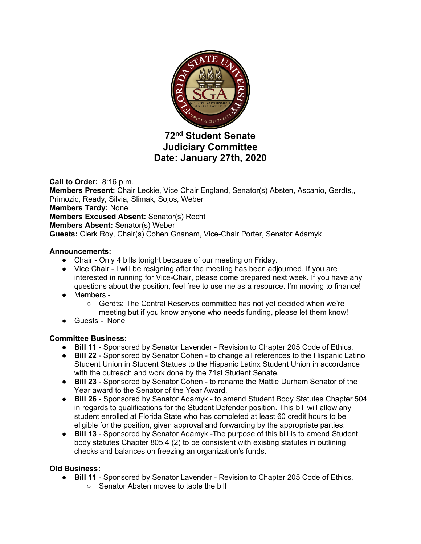

# **72nd Student Senate Judiciary Committee Date: January 27th, 2020**

**Call to Order:** 8:16 p.m. **Members Present:** Chair Leckie, Vice Chair England, Senator(s) Absten, Ascanio, Gerdts,, Primozic, Ready, Silvia, Slimak, Sojos, Weber **Members Tardy:** None **Members Excused Absent:** Senator(s) Recht **Members Absent:** Senator(s) Weber **Guests:** Clerk Roy, Chair(s) Cohen Gnanam, Vice-Chair Porter, Senator Adamyk

### **Announcements:**

- Chair Only 4 bills tonight because of our meeting on Friday.
- Vice Chair I will be resigning after the meeting has been adjourned. If you are interested in running for Vice-Chair, please come prepared next week. If you have any questions about the position, feel free to use me as a resource. I'm moving to finance!
- Members
	- Gerdts: The Central Reserves committee has not yet decided when we're meeting but if you know anyone who needs funding, please let them know!
- Guests None

## **Committee Business:**

- **Bill 11** Sponsored by Senator Lavender Revision to Chapter 205 Code of Ethics.
- **Bill 22** Sponsored by Senator Cohen to change all references to the Hispanic Latino Student Union in Student Statues to the Hispanic Latinx Student Union in accordance with the outreach and work done by the 71st Student Senate.
- **Bill 23** Sponsored by Senator Cohen to rename the Mattie Durham Senator of the Year award to the Senator of the Year Award.
- **Bill 26** Sponsored by Senator Adamyk to amend Student Body Statutes Chapter 504 in regards to qualifications for the Student Defender position. This bill will allow any student enrolled at Florida State who has completed at least 60 credit hours to be eligible for the position, given approval and forwarding by the appropriate parties.
- **Bill 13**  Sponsored by Senator Adamyk -The purpose of this bill is to amend Student body statutes Chapter 805.4 (2) to be consistent with existing statutes in outlining checks and balances on freezing an organization's funds.

## **Old Business:**

- **Bill 11** Sponsored by Senator Lavender Revision to Chapter 205 Code of Ethics.
	- Senator Absten moves to table the bill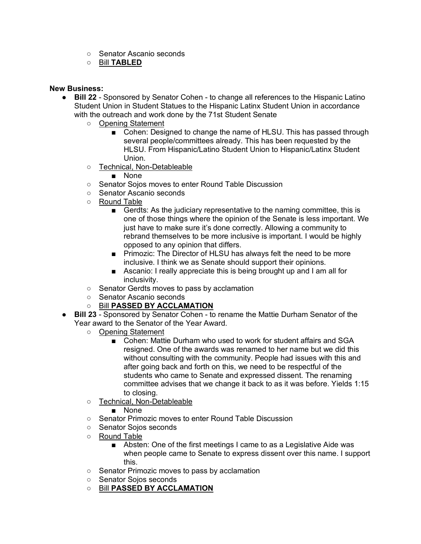- Senator Ascanio seconds
- Bill **TABLED**

### **New Business:**

- **Bill 22** Sponsored by Senator Cohen to change all references to the Hispanic Latino Student Union in Student Statues to the Hispanic Latinx Student Union in accordance with the outreach and work done by the 71st Student Senate
	- Opening Statement
		- Cohen: Designed to change the name of HLSU. This has passed through several people/committees already. This has been requested by the HLSU. From Hispanic/Latino Student Union to Hispanic/Latinx Student Union.
	- Technical, Non-Detableable
		- None
	- Senator Sojos moves to enter Round Table Discussion
	- Senator Ascanio seconds
	- Round Table
		- Gerdts: As the judiciary representative to the naming committee, this is one of those things where the opinion of the Senate is less important. We just have to make sure it's done correctly. Allowing a community to rebrand themselves to be more inclusive is important. I would be highly opposed to any opinion that differs.
		- Primozic: The Director of HLSU has always felt the need to be more inclusive. I think we as Senate should support their opinions.
		- Ascanio: I really appreciate this is being brought up and I am all for inclusivity.
	- Senator Gerdts moves to pass by acclamation
	- Senator Ascanio seconds
	- Bill **PASSED BY ACCLAMATION**
- **Bill 23** Sponsored by Senator Cohen to rename the Mattie Durham Senator of the Year award to the Senator of the Year Award.
	- Opening Statement
		- Cohen: Mattie Durham who used to work for student affairs and SGA resigned. One of the awards was renamed to her name but we did this without consulting with the community. People had issues with this and after going back and forth on this, we need to be respectful of the students who came to Senate and expressed dissent. The renaming committee advises that we change it back to as it was before. Yields 1:15 to closing.
	- Technical, Non-Detableable
		- None
	- Senator Primozic moves to enter Round Table Discussion
	- Senator Sojos seconds
	- Round Table
		- Absten: One of the first meetings I came to as a Legislative Aide was when people came to Senate to express dissent over this name. I support this.
	- Senator Primozic moves to pass by acclamation
	- Senator Sojos seconds
	- Bill **PASSED BY ACCLAMATION**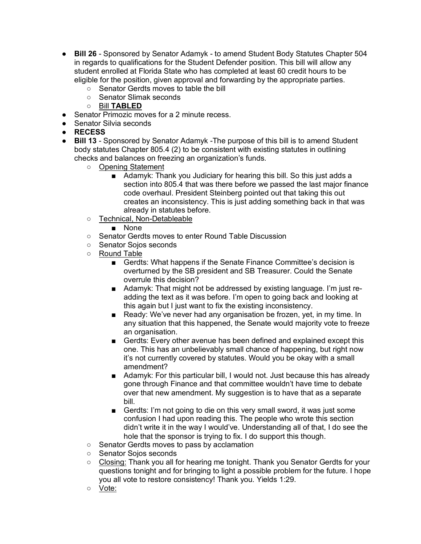- **Bill 26** Sponsored by Senator Adamyk to amend Student Body Statutes Chapter 504 in regards to qualifications for the Student Defender position. This bill will allow any student enrolled at Florida State who has completed at least 60 credit hours to be eligible for the position, given approval and forwarding by the appropriate parties.
	- Senator Gerdts moves to table the bill
	- Senator Slimak seconds
	- Bill **TABLED**
- Senator Primozic moves for a 2 minute recess.
- Senator Silvia seconds
- **RECESS**
- **Bill 13**  Sponsored by Senator Adamyk -The purpose of this bill is to amend Student body statutes Chapter 805.4 (2) to be consistent with existing statutes in outlining checks and balances on freezing an organization's funds.
	- Opening Statement
		- Adamyk: Thank you Judiciary for hearing this bill. So this just adds a section into 805.4 that was there before we passed the last major finance code overhaul. President Steinberg pointed out that taking this out creates an inconsistency. This is just adding something back in that was already in statutes before.
	- Technical, Non-Detableable
		- None
	- Senator Gerdts moves to enter Round Table Discussion
	- Senator Sojos seconds
	- Round Table
		- Gerdts: What happens if the Senate Finance Committee's decision is overturned by the SB president and SB Treasurer. Could the Senate overrule this decision?
		- Adamyk: That might not be addressed by existing language. I'm just readding the text as it was before. I'm open to going back and looking at this again but I just want to fix the existing inconsistency.
		- Ready: We've never had any organisation be frozen, yet, in my time. In any situation that this happened, the Senate would majority vote to freeze an organisation.
		- Gerdts: Every other avenue has been defined and explained except this one. This has an unbelievably small chance of happening, but right now it's not currently covered by statutes. Would you be okay with a small amendment?
		- Adamyk: For this particular bill, I would not. Just because this has already gone through Finance and that committee wouldn't have time to debate over that new amendment. My suggestion is to have that as a separate bill.
		- Gerdts: I'm not going to die on this very small sword, it was just some confusion I had upon reading this. The people who wrote this section didn't write it in the way I would've. Understanding all of that, I do see the hole that the sponsor is trying to fix. I do support this though.
	- Senator Gerdts moves to pass by acclamation
	- Senator Sojos seconds
	- Closing: Thank you all for hearing me tonight. Thank you Senator Gerdts for your questions tonight and for bringing to light a possible problem for the future. I hope you all vote to restore consistency! Thank you. Yields 1:29.
	- Vote: